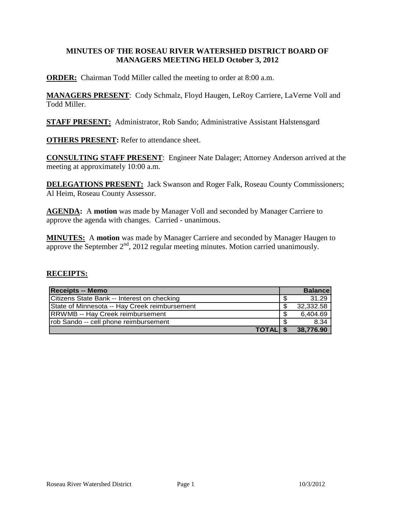### **MINUTES OF THE ROSEAU RIVER WATERSHED DISTRICT BOARD OF MANAGERS MEETING HELD October 3, 2012**

**ORDER:** Chairman Todd Miller called the meeting to order at 8:00 a.m.

**MANAGERS PRESENT**: Cody Schmalz, Floyd Haugen, LeRoy Carriere, LaVerne Voll and Todd Miller.

**STAFF PRESENT:** Administrator, Rob Sando; Administrative Assistant Halstensgard

**OTHERS PRESENT:** Refer to attendance sheet.

**CONSULTING STAFF PRESENT**: Engineer Nate Dalager; Attorney Anderson arrived at the meeting at approximately 10:00 a.m.

**DELEGATIONS PRESENT:** Jack Swanson and Roger Falk, Roseau County Commissioners; Al Heim, Roseau County Assessor.

**AGENDA:** A **motion** was made by Manager Voll and seconded by Manager Carriere to approve the agenda with changes. Carried - unanimous.

**MINUTES:** A **motion** was made by Manager Carriere and seconded by Manager Haugen to approve the September  $2<sup>nd</sup>$ , 2012 regular meeting minutes. Motion carried unanimously.

#### **RECEIPTS:**

| <b>Receipts -- Memo</b>                       |    | <b>Balance</b> |
|-----------------------------------------------|----|----------------|
| Citizens State Bank -- Interest on checking   |    | 31.29          |
| State of Minnesota -- Hay Creek reimbursement | \$ | 32,332.58      |
| <b>RRWMB</b> -- Hay Creek reimbursement       | \$ | 6,404.69       |
| rob Sando -- cell phone reimbursement         | -S | 8.34           |
| <b>TOTALIS</b>                                |    | 38,776.90      |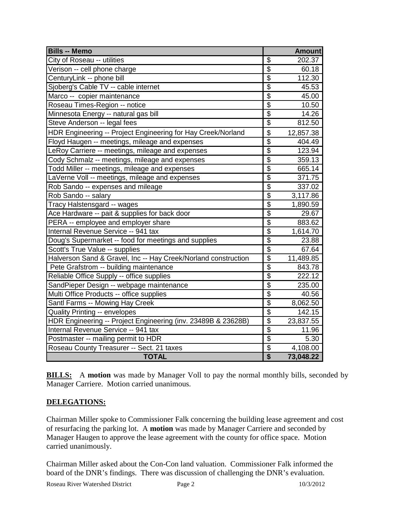| <b>Bills -- Memo</b>                                           |                          | <b>Amount</b> |
|----------------------------------------------------------------|--------------------------|---------------|
| City of Roseau -- utilities                                    | \$                       | 202.37        |
| Verison -- cell phone charge                                   | $\overline{\$}$          | 60.18         |
| CenturyLink -- phone bill                                      | $\overline{\$}$          | 112.30        |
| Sjoberg's Cable TV -- cable internet                           | $\overline{\$}$          | 45.53         |
| Marco -- copier maintenance                                    | $\overline{\$}$          | 45.00         |
| Roseau Times-Region -- notice                                  | $\overline{\$}$          | 10.50         |
| Minnesota Energy -- natural gas bill                           | \$                       | 14.26         |
| Steve Anderson -- legal fees                                   | $\overline{\$}$          | 812.50        |
| HDR Engineering -- Project Engineering for Hay Creek/Norland   | \$                       | 12,857.38     |
| Floyd Haugen -- meetings, mileage and expenses                 | $\overline{\$}$          | 404.49        |
| LeRoy Carriere -- meetings, mileage and expenses               | $\overline{\mathcal{L}}$ | 123.94        |
| Cody Schmalz -- meetings, mileage and expenses                 | $\overline{\$}$          | 359.13        |
| Todd Miller -- meetings, mileage and expenses                  | \$                       | 665.14        |
| LaVerne Voll -- meetings, mileage and expenses                 | $\overline{\$}$          | 371.75        |
| Rob Sando -- expenses and mileage                              | $\overline{\$}$          | 337.02        |
| Rob Sando -- salary                                            | $\overline{\mathbf{S}}$  | 3,117.86      |
| Tracy Halstensgard -- wages                                    | $\overline{\$}$          | 1,890.59      |
| Ace Hardware -- pait & supplies for back door                  | $\overline{\$}$          | 29.67         |
| PERA -- employee and employer share                            | $\overline{\$}$          | 883.62        |
| Internal Revenue Service -- 941 tax                            | $\overline{\mathcal{S}}$ | 1,614.70      |
| Doug's Supermarket -- food for meetings and supplies           | $\overline{\$}$          | 23.88         |
| Scott's True Value -- supplies                                 | $\overline{\$}$          | 67.64         |
| Halverson Sand & Gravel, Inc -- Hay Creek/Norland construction | $\overline{\$}$          | 11,489.85     |
| Pete Grafstrom -- building maintenance                         | $\overline{\mathcal{G}}$ | 843.78        |
| Reliable Office Supply -- office supplies                      | $\overline{\$}$          | 222.12        |
| SandPieper Design -- webpage maintenance                       | $\overline{\$}$          | 235.00        |
| Multi Office Products -- office supplies                       | $\overline{\$}$          | 40.56         |
| Santl Farms -- Mowing Hay Creek                                | $\overline{\$}$          | 8,062.50      |
| <b>Quality Printing -- envelopes</b>                           | $\overline{\$}$          | 142.15        |
| HDR Engineering -- Project Engineering (inv. 23489B & 23628B)  | $\overline{\mathcal{C}}$ | 23,837.55     |
| Internal Revenue Service -- 941 tax                            | $\overline{\$}$          | 11.96         |
| Postmaster -- mailing permit to HDR                            | $\overline{\$}$          | 5.30          |
| Roseau County Treasurer -- Sect. 21 taxes                      | $\overline{\mathcal{G}}$ | 4,108.00      |
| <b>TOTAL</b>                                                   | $\overline{\$}$          | 73,048.22     |

**BILLS:** A motion was made by Manager Voll to pay the normal monthly bills, seconded by Manager Carriere. Motion carried unanimous.

### **DELEGATIONS:**

Chairman Miller spoke to Commissioner Falk concerning the building lease agreement and cost of resurfacing the parking lot. A **motion** was made by Manager Carriere and seconded by Manager Haugen to approve the lease agreement with the county for office space. Motion carried unanimously.

Chairman Miller asked about the Con-Con land valuation. Commissioner Falk informed the board of the DNR's findings. There was discussion of challenging the DNR's evaluation.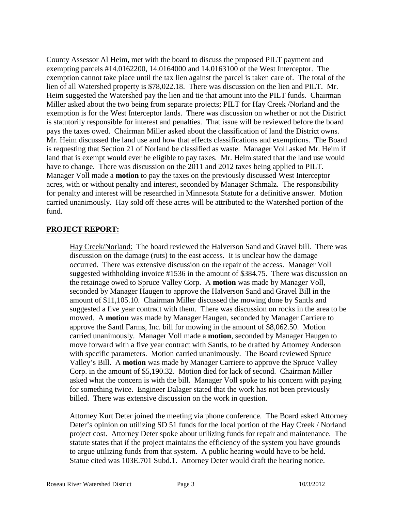County Assessor Al Heim, met with the board to discuss the proposed PILT payment and exempting parcels #14.0162200, 14.0164000 and 14.0163100 of the West Interceptor. The exemption cannot take place until the tax lien against the parcel is taken care of. The total of the lien of all Watershed property is \$78,022.18. There was discussion on the lien and PILT. Mr. Heim suggested the Watershed pay the lien and tie that amount into the PILT funds. Chairman Miller asked about the two being from separate projects; PILT for Hay Creek /Norland and the exemption is for the West Interceptor lands. There was discussion on whether or not the District is statutorily responsible for interest and penalties. That issue will be reviewed before the board pays the taxes owed. Chairman Miller asked about the classification of land the District owns. Mr. Heim discussed the land use and how that effects classifications and exemptions. The Board is requesting that Section 21 of Norland be classified as waste. Manager Voll asked Mr. Heim if land that is exempt would ever be eligible to pay taxes. Mr. Heim stated that the land use would have to change. There was discussion on the 2011 and 2012 taxes being applied to PILT. Manager Voll made a **motion** to pay the taxes on the previously discussed West Interceptor acres, with or without penalty and interest, seconded by Manager Schmalz. The responsibility for penalty and interest will be researched in Minnesota Statute for a definitive answer. Motion carried unanimously. Hay sold off these acres will be attributed to the Watershed portion of the fund.

### **PROJECT REPORT:**

Hay Creek/Norland: The board reviewed the Halverson Sand and Gravel bill. There was discussion on the damage (ruts) to the east access. It is unclear how the damage occurred. There was extensive discussion on the repair of the access. Manager Voll suggested withholding invoice #1536 in the amount of \$384.75. There was discussion on the retainage owed to Spruce Valley Corp. A **motion** was made by Manager Voll, seconded by Manager Haugen to approve the Halverson Sand and Gravel Bill in the amount of \$11,105.10. Chairman Miller discussed the mowing done by Santls and suggested a five year contract with them. There was discussion on rocks in the area to be mowed. A **motion** was made by Manager Haugen, seconded by Manager Carriere to approve the Santl Farms, Inc. bill for mowing in the amount of \$8,062.50. Motion carried unanimously. Manager Voll made a **motion**, seconded by Manager Haugen to move forward with a five year contract with Santls, to be drafted by Attorney Anderson with specific parameters. Motion carried unanimously. The Board reviewed Spruce Valley's Bill. A **motion** was made by Manager Carriere to approve the Spruce Valley Corp. in the amount of \$5,190.32. Motion died for lack of second. Chairman Miller asked what the concern is with the bill. Manager Voll spoke to his concern with paying for something twice. Engineer Dalager stated that the work has not been previously billed. There was extensive discussion on the work in question.

Attorney Kurt Deter joined the meeting via phone conference. The Board asked Attorney Deter's opinion on utilizing SD 51 funds for the local portion of the Hay Creek / Norland project cost. Attorney Deter spoke about utilizing funds for repair and maintenance. The statute states that if the project maintains the efficiency of the system you have grounds to argue utilizing funds from that system. A public hearing would have to be held. Statue cited was 103E.701 Subd.1. Attorney Deter would draft the hearing notice.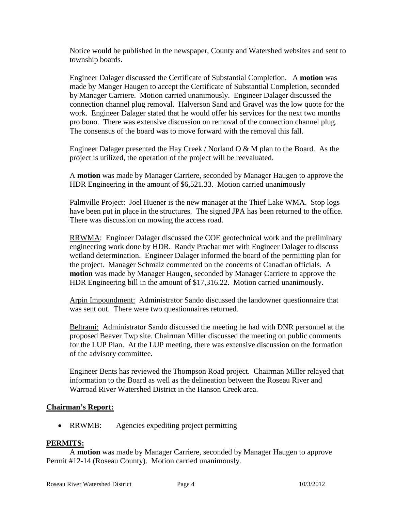Notice would be published in the newspaper, County and Watershed websites and sent to township boards.

Engineer Dalager discussed the Certificate of Substantial Completion. A **motion** was made by Manger Haugen to accept the Certificate of Substantial Completion, seconded by Manager Carriere. Motion carried unanimously. Engineer Dalager discussed the connection channel plug removal. Halverson Sand and Gravel was the low quote for the work. Engineer Dalager stated that he would offer his services for the next two months pro bono. There was extensive discussion on removal of the connection channel plug. The consensus of the board was to move forward with the removal this fall.

Engineer Dalager presented the Hay Creek / Norland O & M plan to the Board. As the project is utilized, the operation of the project will be reevaluated.

A **motion** was made by Manager Carriere, seconded by Manager Haugen to approve the HDR Engineering in the amount of \$6,521.33. Motion carried unanimously

Palmville Project: Joel Huener is the new manager at the Thief Lake WMA. Stop logs have been put in place in the structures. The signed JPA has been returned to the office. There was discussion on mowing the access road.

RRWMA: Engineer Dalager discussed the COE geotechnical work and the preliminary engineering work done by HDR. Randy Prachar met with Engineer Dalager to discuss wetland determination. Engineer Dalager informed the board of the permitting plan for the project. Manager Schmalz commented on the concerns of Canadian officials. A **motion** was made by Manager Haugen, seconded by Manager Carriere to approve the HDR Engineering bill in the amount of \$17,316.22. Motion carried unanimously.

Arpin Impoundment: Administrator Sando discussed the landowner questionnaire that was sent out. There were two questionnaires returned.

Beltrami: Administrator Sando discussed the meeting he had with DNR personnel at the proposed Beaver Twp site. Chairman Miller discussed the meeting on public comments for the LUP Plan. At the LUP meeting, there was extensive discussion on the formation of the advisory committee.

Engineer Bents has reviewed the Thompson Road project. Chairman Miller relayed that information to the Board as well as the delineation between the Roseau River and Warroad River Watershed District in the Hanson Creek area.

#### **Chairman's Report:**

• RRWMB: Agencies expediting project permitting

#### **PERMITS:**

A **motion** was made by Manager Carriere, seconded by Manager Haugen to approve Permit #12-14 (Roseau County). Motion carried unanimously.